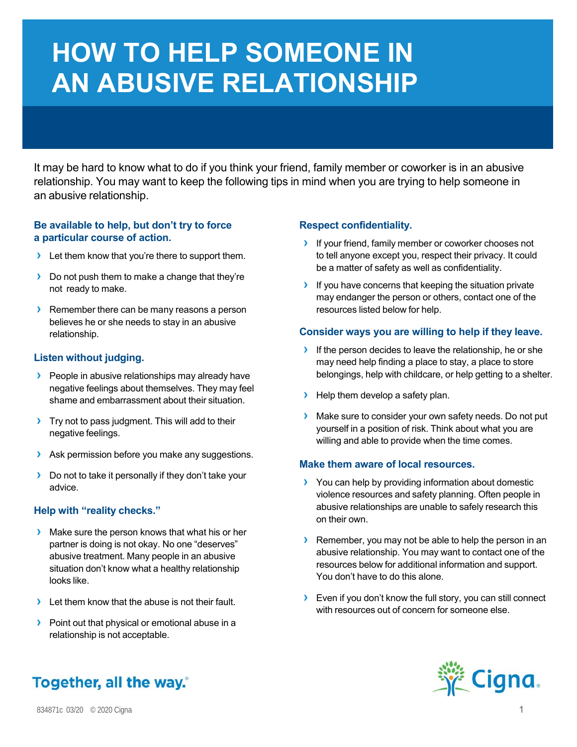# **HOW TO HELP SOMEONE IN AN ABUSIVE RELATIONSHIP**

It may be hard to know what to do if you think your friend, family member or coworker is in an abusive relationship. You may want to keep the following tips in mind when you are trying to help someone in an abusive relationship.

### **Be available to help, but don't try to force a particular course of action.**

- **›** Let them know that you're there to support them.
- **›** Do not push them to make a change that they're not ready to make.
- **›** Remember there can be many reasons a person believes he or she needs to stay in an abusive relationship.

## **Listen without judging.**

- **›** People in abusive relationships may already have negative feelings about themselves. They may feel shame and embarrassment about their situation.
- **›** Try not to pass judgment. This will add to their negative feelings.
- **›** Ask permission before you make any suggestions.
- **›** Do not to take it personally if they don't take your advice.

# **Help with "reality checks."**

- **›** Make sure the person knows that what his or her partner is doing is not okay. No one "deserves" abusive treatment. Many people in an abusive situation don't know what a healthy relationship looks like.
- **›** Let them know that the abuse is not their fault.
- **›** Point out that physical or emotional abuse in a relationship is not acceptable.

# **Respect confidentiality.**

- **›** If your friend, family member or coworker chooses not to tell anyone except you, respect their privacy. It could be a matter of safety as well as confidentiality.
- **›** If you have concerns that keeping the situation private may endanger the person or others, contact one of the resources listed below for help.

### **Consider ways you are willing to help if they leave.**

- **›** If the person decides to leave the relationship, he or she may need help finding a place to stay, a place to store belongings, help with childcare, or help getting to a shelter.
- **>** Help them develop a safety plan.
- **›** Make sure to consider your own safety needs. Do not put yourself in a position of risk. Think about what you are willing and able to provide when the time comes.

### **Make them aware of local resources.**

- **›** You can help by providing information about domestic violence resources and safety planning. Often people in abusive relationships are unable to safely research this on their own.
- **›** Remember, you may not be able to help the person in an abusive relationship. You may want to contact one of the resources below for additional information and support. You don't have to do this alone.
- **›** Even if you don't know the full story, you can still connect with resources out of concern for someone else.



# Together, all the way."